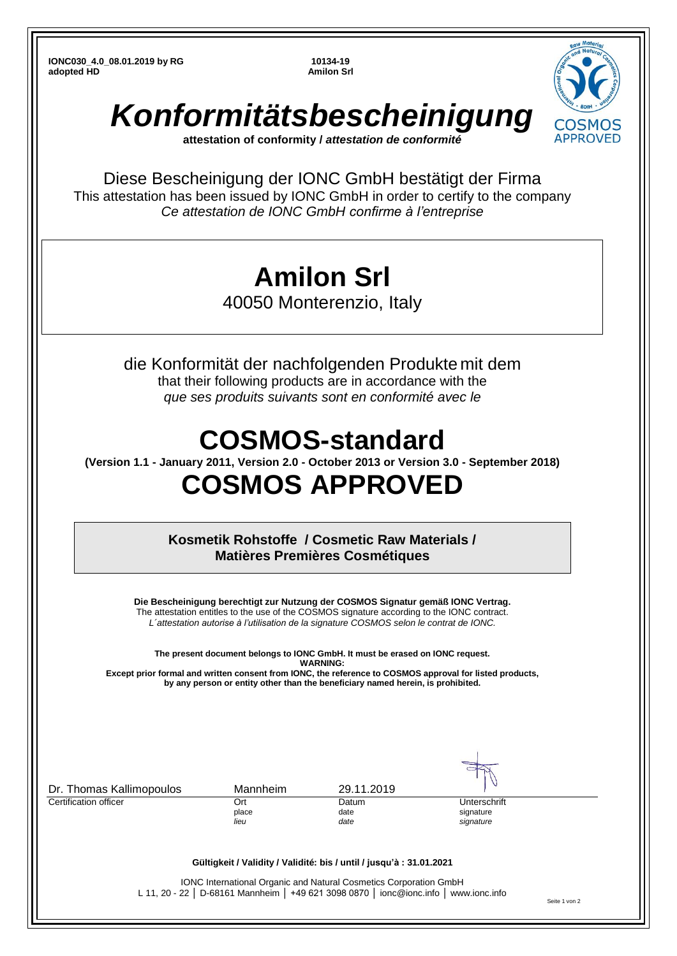**IONC030\_4.0\_08.01.2019 by RG 10134-19 adopted HD Amilon Srl** 



Diese Bescheinigung der IONC GmbH bestätigt der Firma This attestation has been issued by IONC GmbH in order to certify to the company *Ce attestation de IONC GmbH confirme à l'entreprise*

## **Amilon Srl**

40050 Monterenzio, Italy

die Konformität der nachfolgenden Produkte mit dem that their following products are in accordance with the *que ses produits suivants sont en conformité avec le*

## **COSMOS-standard**

**(Version 1.1 - January 2011, Version 2.0 - October 2013 or Version 3.0 - September 2018)**

## **COSMOS APPROVED**

**Kosmetik Rohstoffe / Cosmetic Raw Materials / Matières Premières Cosmétiques**

**Die Bescheinigung berechtigt zur Nutzung der COSMOS Signatur gemäß IONC Vertrag.** The attestation entitles to the use of the COSMOS signature according to the IONC contract. *L´attestation autorise à l'utilisation de la signature COSMOS selon le contrat de IONC.*

**The present document belongs to IONC GmbH. It must be erased on IONC request. WARNING: Except prior formal and written consent from IONC, the reference to COSMOS approval for listed products,** 

**by any person or entity other than the beneficiary named herein, is prohibited.**

| Dr. Thomas Kallimopoulos | Mannheim     | 29.11.2019                                                                                                                                                 |                           |
|--------------------------|--------------|------------------------------------------------------------------------------------------------------------------------------------------------------------|---------------------------|
| Certification officer    | Ort<br>place | Datum<br>date                                                                                                                                              | Unterschrift<br>signature |
|                          | lieu         | date                                                                                                                                                       | signature                 |
|                          |              | Gültigkeit / Validity / Validité: bis / until / jusqu'à : 31.01.2021                                                                                       |                           |
|                          |              | IONC International Organic and Natural Cosmetics Corporation GmbH<br>L 11, 20 - 22   D-68161 Mannheim   +49 621 3098 0870   ionc@ionc.info   www.ionc.info |                           |